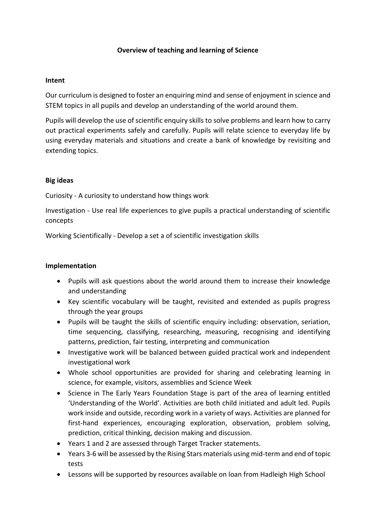# **Overview of teaching and learning of Science**

#### **Intent**

Our curriculum is designed to foster an enquiring mind and sense of enjoyment in science and STEM topics in all pupils and develop an understanding of the world around them.

Pupils will develop the use of scientific enquiry skills to solve problems and learn how to carry out practical experiments safely and carefully. Pupils will relate science to everyday life by using everyday materials and situations and create a bank of knowledge by revisiting and extending topics.

# **Big ideas**

Curiosity - A curiosity to understand how things work

Investigation - Use real life experiences to give pupils a practical understanding of scientific concepts

Working Scientifically - Develop a set a of scientific investigation skills

#### **Implementation**

- Pupils will ask questions about the world around them to increase their knowledge and understanding
- Key scientific vocabulary will be taught, revisited and extended as pupils progress through the year groups
- Pupils will be taught the skills of scientific enquiry including: observation, seriation, time sequencing, classifying, researching, measuring, recognising and identifying patterns, prediction, fair testing, interpreting and communication
- Investigative work will be balanced between guided practical work and independent investigational work
- Whole school opportunities are provided for sharing and celebrating learning in science, for example, visitors, assemblies and Science Week
- Science in The Early Years Foundation Stage is part of the area of learning entitled 'Understanding of the World'. Activities are both child initiated and adult led. Pupils work inside and outside, recording work in a variety of ways. Activities are planned for first-hand experiences, encouraging exploration, observation, problem solving, prediction, critical thinking, decision making and discussion.
- Years 1 and 2 are assessed through Target Tracker statements.
- Years 3-6 will be assessed by the Rising Stars materials using mid-term and end of topic tests
- Lessons will be supported by resources available on loan from Hadleigh High School